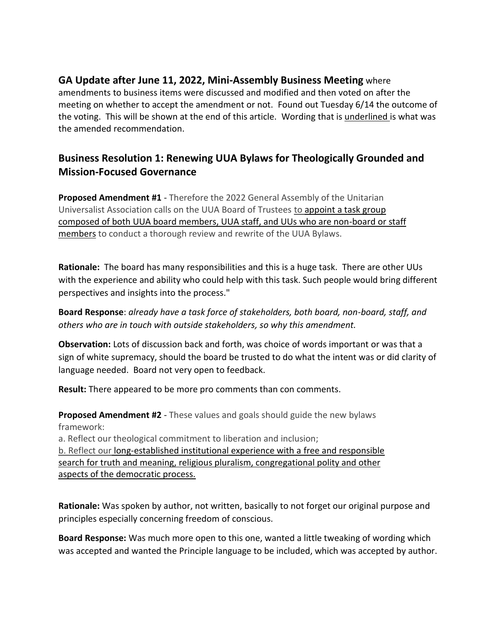## **GA Update after June 11, 2022, Mini-Assembly Business Meeting** where

amendments to business items were discussed and modified and then voted on after the meeting on whether to accept the amendment or not. Found out Tuesday 6/14 the outcome of the voting. This will be shown at the end of this article. Wording that is underlined is what was the amended recommendation.

## **Business Resolution 1: Renewing UUA Bylaws for Theologically Grounded and Mission-Focused Governance**

**Proposed Amendment #1** - Therefore the 2022 General Assembly of the Unitarian Universalist Association calls on the UUA Board of Trustees to appoint a task group composed of both UUA board members, UUA staff, and UUs who are non-board or staff members to conduct a thorough review and rewrite of the UUA Bylaws.

**Rationale:** The board has many responsibilities and this is a huge task. There are other UUs with the experience and ability who could help with this task. Such people would bring different perspectives and insights into the process."

**Board Response**: *already have a task force of stakeholders, both board, non-board, staff, and others who are in touch with outside stakeholders, so why this amendment.* 

**Observation:** Lots of discussion back and forth, was choice of words important or was that a sign of white supremacy, should the board be trusted to do what the intent was or did clarity of language needed. Board not very open to feedback.

**Result:** There appeared to be more pro comments than con comments.

**Proposed Amendment #2** - These values and goals should guide the new bylaws framework:

a. Reflect our theological commitment to liberation and inclusion; b. Reflect our long-established institutional experience with a free and responsible search for truth and meaning, religious pluralism, congregational polity and other aspects of the democratic process.

**Rationale:** Was spoken by author, not written, basically to not forget our original purpose and principles especially concerning freedom of conscious.

**Board Response:** Was much more open to this one, wanted a little tweaking of wording which was accepted and wanted the Principle language to be included, which was accepted by author.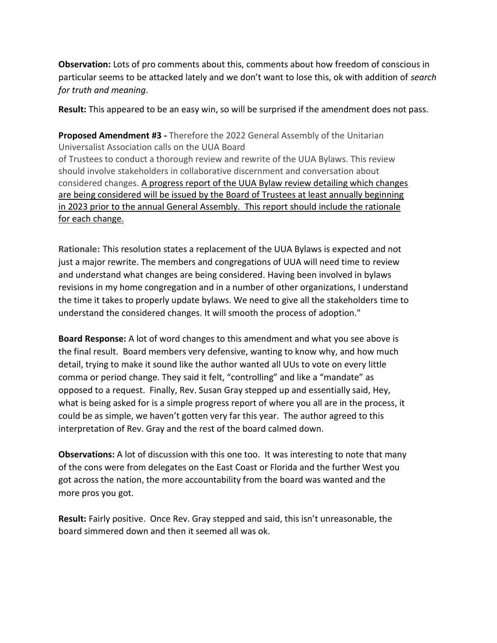**Observation:** Lots of pro comments about this, comments about how freedom of conscious in particular seems to be attacked lately and we don't want to lose this, ok with addition of *search for truth and meaning*.

**Result:** This appeared to be an easy win, so will be surprised if the amendment does not pass.

**Proposed Amendment #3 -** Therefore the 2022 General Assembly of the Unitarian Universalist Association calls on the UUA Board of Trustees to conduct a thorough review and rewrite of the UUA Bylaws. This review should involve stakeholders in collaborative discernment and conversation about considered changes. A progress report of the UUA Bylaw review detailing which changes are being considered will be issued by the Board of Trustees at least annually beginning in 2023 prior to the annual General Assembly. This report should include the rationale for each change.

**Rationale:** This resolution states a replacement of the UUA Bylaws is expected and not just a major rewrite. The members and congregations of UUA will need time to review and understand what changes are being considered. Having been involved in bylaws revisions in my home congregation and in a number of other organizations, I understand the time it takes to properly update bylaws. We need to give all the stakeholders time to understand the considered changes. It will smooth the process of adoption."

**Board Response:** A lot of word changes to this amendment and what you see above is the final result. Board members very defensive, wanting to know why, and how much detail, trying to make it sound like the author wanted all UUs to vote on every little comma or period change. They said it felt, "controlling" and like a "mandate" as opposed to a request. Finally, Rev. Susan Gray stepped up and essentially said, Hey, what is being asked for is a simple progress report of where you all are in the process, it could be as simple, we haven't gotten very far this year. The author agreed to this interpretation of Rev. Gray and the rest of the board calmed down.

**Observations:** A lot of discussion with this one too. It was interesting to note that many of the cons were from delegates on the East Coast or Florida and the further West you got across the nation, the more accountability from the board was wanted and the more pros you got.

**Result:** Fairly positive. Once Rev. Gray stepped and said, this isn't unreasonable, the board simmered down and then it seemed all was ok.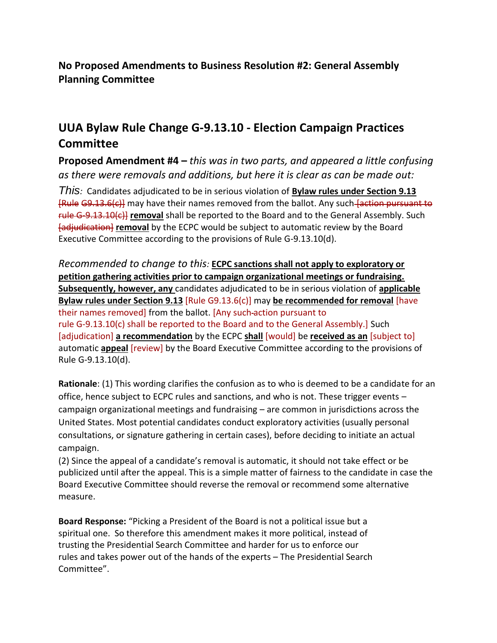**No Proposed Amendments to Business Resolution #2: General Assembly Planning Committee**

## **UUA Bylaw Rule Change G-9.13.10 - Election Campaign Practices Committee**

**Proposed Amendment #4 –** *this was in two parts, and appeared a little confusing as there were removals and additions, but here it is clear as can be made out:* 

*This:* Candidates adjudicated to be in serious violation of **Bylaw rules under Section 9.13** [Rule G9.13.6(c)] may have their names removed from the ballot. Any such [action pursuant to rule G-9.13.10(c)] **removal** shall be reported to the Board and to the General Assembly. Such [adjudication] **removal** by the ECPC would be subject to automatic review by the Board Executive Committee according to the provisions of Rule G-9.13.10(d).

*Recommended to change to this:* **ECPC sanctions shall not apply to exploratory or petition gathering activities prior to campaign organizational meetings or fundraising. Subsequently, however, any** candidates adjudicated to be in serious violation of **applicable Bylaw rules under Section 9.13** [Rule G9.13.6(c)] may **be recommended for removal** [have their names removed] from the ballot. [Any such action pursuant to rule G-9.13.10(c) shall be reported to the Board and to the General Assembly.] Such [adjudication] **a recommendation** by the ECPC **shall** [would] be **received as an** [subject to] automatic **appeal** [review] by the Board Executive Committee according to the provisions of Rule G-9.13.10(d).

**Rationale**: (1) This wording clarifies the confusion as to who is deemed to be a candidate for an office, hence subject to ECPC rules and sanctions, and who is not. These trigger events – campaign organizational meetings and fundraising – are common in jurisdictions across the United States. Most potential candidates conduct exploratory activities (usually personal consultations, or signature gathering in certain cases), before deciding to initiate an actual campaign.

(2) Since the appeal of a candidate's removal is automatic, it should not take effect or be publicized until after the appeal. This is a simple matter of fairness to the candidate in case the Board Executive Committee should reverse the removal or recommend some alternative measure.

**Board Response:** "Picking a President of the Board is not a political issue but a spiritual one. So therefore this amendment makes it more political, instead of trusting the Presidential Search Committee and harder for us to enforce our rules and takes power out of the hands of the experts – The Presidential Search Committee".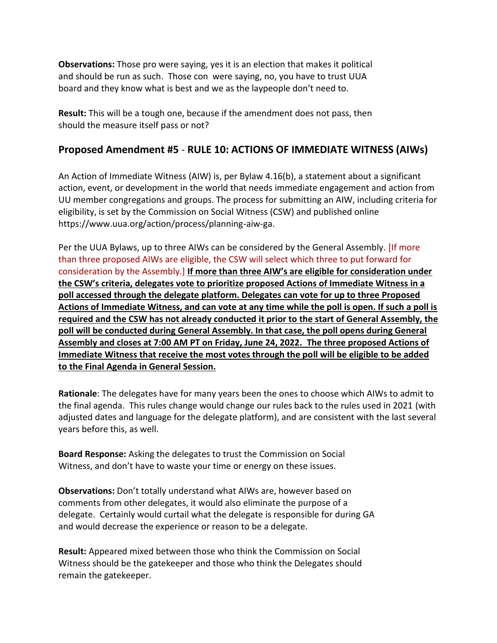**Observations:** Those pro were saying, yes it is an election that makes it political and should be run as such. Those con were saying, no, you have to trust UUA board and they know what is best and we as the laypeople don't need to.

**Result:** This will be a tough one, because if the amendment does not pass, then should the measure itself pass or not?

## **Proposed Amendment #5** - **RULE 10: ACTIONS OF IMMEDIATE WITNESS (AIWs)**

An Action of Immediate Witness (AIW) is, per Bylaw 4.16(b), a statement about a significant action, event, or development in the world that needs immediate engagement and action from UU member congregations and groups. The process for submitting an AIW, including criteria for eligibility, is set by the Commission on Social Witness (CSW) and published online https://www.uua.org/action/process/planning-aiw-ga.

Per the UUA Bylaws, up to three AIWs can be considered by the General Assembly. [If more than three proposed AIWs are eligible, the CSW will select which three to put forward for consideration by the Assembly.] **If more than three AIW's are eligible for consideration under the CSW's criteria, delegates vote to prioritize proposed Actions of Immediate Witness in a poll accessed through the delegate platform. Delegates can vote for up to three Proposed Actions of Immediate Witness, and can vote at any time while the poll is open. If such a poll is required and the CSW has not already conducted it prior to the start of General Assembly, the poll will be conducted during General Assembly. In that case, the poll opens during General Assembly and closes at 7:00 AM PT on Friday, June 24, 2022. The three proposed Actions of Immediate Witness that receive the most votes through the poll will be eligible to be added to the Final Agenda in General Session.**

**Rationale**: The delegates have for many years been the ones to choose which AIWs to admit to the final agenda. This rules change would change our rules back to the rules used in 2021 (with adjusted dates and language for the delegate platform), and are consistent with the last several years before this, as well.

**Board Response:** Asking the delegates to trust the Commission on Social Witness, and don't have to waste your time or energy on these issues.

**Observations:** Don't totally understand what AIWs are, however based on comments from other delegates, it would also eliminate the purpose of a delegate. Certainly would curtail what the delegate is responsible for during GA and would decrease the experience or reason to be a delegate.

**Result:** Appeared mixed between those who think the Commission on Social Witness should be the gatekeeper and those who think the Delegates should remain the gatekeeper.